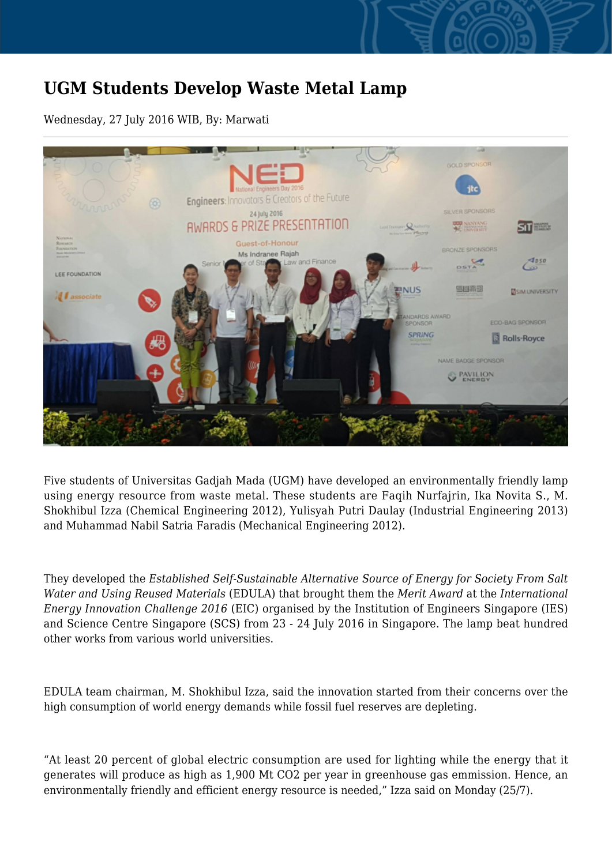## **UGM Students Develop Waste Metal Lamp**

Wednesday, 27 July 2016 WIB, By: Marwati



Five students of Universitas Gadjah Mada (UGM) have developed an environmentally friendly lamp using energy resource from waste metal. These students are Faqih Nurfajrin, Ika Novita S., M. Shokhibul Izza (Chemical Engineering 2012), Yulisyah Putri Daulay (Industrial Engineering 2013) and Muhammad Nabil Satria Faradis (Mechanical Engineering 2012).

They developed the *Established Self-Sustainable Alternative Source of Energy for Society From Salt Water and Using Reused Materials* (EDULA) that brought them the *Merit Award* at the *International Energy Innovation Challenge 2016* (EIC) organised by the Institution of Engineers Singapore (IES) and Science Centre Singapore (SCS) from 23 - 24 July 2016 in Singapore. The lamp beat hundred other works from various world universities.

EDULA team chairman, M. Shokhibul Izza, said the innovation started from their concerns over the high consumption of world energy demands while fossil fuel reserves are depleting.

"At least 20 percent of global electric consumption are used for lighting while the energy that it generates will produce as high as 1,900 Mt CO2 per year in greenhouse gas emmission. Hence, an environmentally friendly and efficient energy resource is needed," Izza said on Monday (25/7).